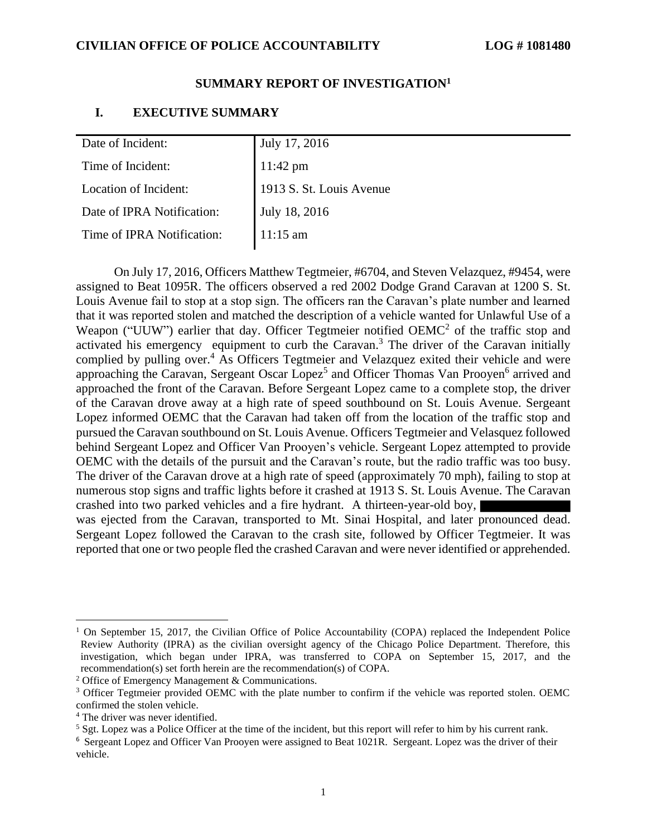#### **SUMMARY REPORT OF INVESTIGATION<sup>1</sup>**

### **I. EXECUTIVE SUMMARY**

| Date of Incident:          | July 17, 2016            |
|----------------------------|--------------------------|
| Time of Incident:          | $11:42 \text{ pm}$       |
| Location of Incident:      | 1913 S. St. Louis Avenue |
| Date of IPRA Notification: | July 18, 2016            |
| Time of IPRA Notification: | $11:15$ am               |
|                            |                          |

On July 17, 2016, Officers Matthew Tegtmeier, #6704, and Steven Velazquez, #9454, were assigned to Beat 1095R. The officers observed a red 2002 Dodge Grand Caravan at 1200 S. St. Louis Avenue fail to stop at a stop sign. The officers ran the Caravan's plate number and learned that it was reported stolen and matched the description of a vehicle wanted for Unlawful Use of a Weapon ("UUW") earlier that day. Officer Tegtmeier notified  $OEMC<sup>2</sup>$  of the traffic stop and activated his emergency equipment to curb the Caravan.<sup>3</sup> The driver of the Caravan initially complied by pulling over. <sup>4</sup> As Officers Tegtmeier and Velazquez exited their vehicle and were approaching the Caravan, Sergeant Oscar Lopez<sup>5</sup> and Officer Thomas Van Prooyen<sup>6</sup> arrived and approached the front of the Caravan. Before Sergeant Lopez came to a complete stop, the driver of the Caravan drove away at a high rate of speed southbound on St. Louis Avenue. Sergeant Lopez informed OEMC that the Caravan had taken off from the location of the traffic stop and pursued the Caravan southbound on St. Louis Avenue. Officers Tegtmeier and Velasquez followed behind Sergeant Lopez and Officer Van Prooyen's vehicle. Sergeant Lopez attempted to provide OEMC with the details of the pursuit and the Caravan's route, but the radio traffic was too busy. The driver of the Caravan drove at a high rate of speed (approximately 70 mph), failing to stop at numerous stop signs and traffic lights before it crashed at 1913 S. St. Louis Avenue. The Caravan crashed into two parked vehicles and a fire hydrant. A thirteen-year-old boy, was ejected from the Caravan, transported to Mt. Sinai Hospital, and later pronounced dead. Sergeant Lopez followed the Caravan to the crash site, followed by Officer Tegtmeier. It was reported that one or two people fled the crashed Caravan and were never identified or apprehended.

<sup>&</sup>lt;sup>1</sup> On September 15, 2017, the Civilian Office of Police Accountability (COPA) replaced the Independent Police Review Authority (IPRA) as the civilian oversight agency of the Chicago Police Department. Therefore, this investigation, which began under IPRA, was transferred to COPA on September 15, 2017, and the recommendation(s) set forth herein are the recommendation(s) of COPA.

<sup>2</sup> Office of Emergency Management & Communications.

<sup>&</sup>lt;sup>3</sup> Officer Tegtmeier provided OEMC with the plate number to confirm if the vehicle was reported stolen. OEMC confirmed the stolen vehicle.

<sup>4</sup> The driver was never identified.

 $<sup>5</sup>$  Sgt. Lopez was a Police Officer at the time of the incident, but this report will refer to him by his current rank.</sup>

<sup>&</sup>lt;sup>6</sup> Sergeant Lopez and Officer Van Prooyen were assigned to Beat 1021R. Sergeant. Lopez was the driver of their vehicle.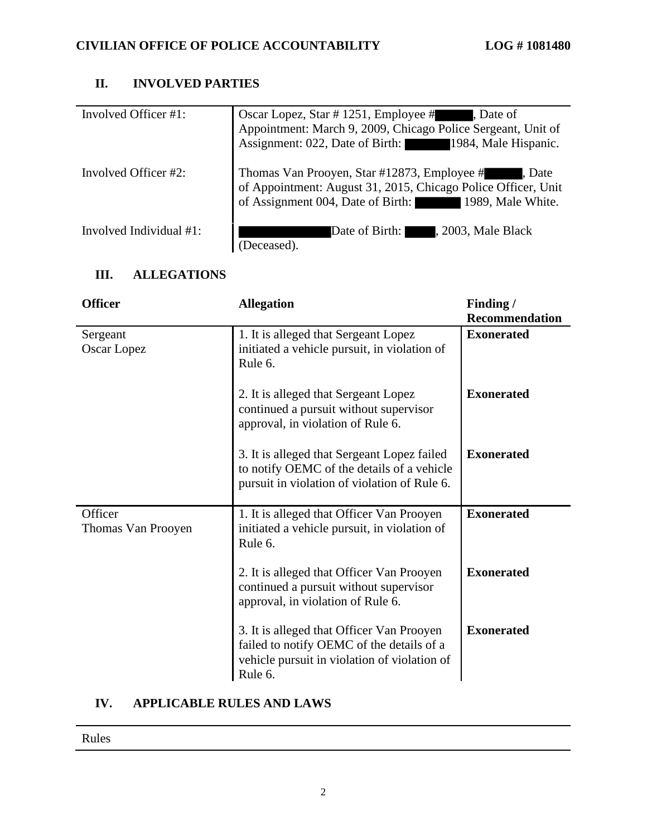# **II. INVOLVED PARTIES**

| Involved Officer #1:       | Oscar Lopez, Star # 1251, Employee #<br>Date of<br>Appointment: March 9, 2009, Chicago Police Sergeant, Unit of<br>Assignment: 022, Date of Birth: 1984, Male Hispanic.          |
|----------------------------|----------------------------------------------------------------------------------------------------------------------------------------------------------------------------------|
| Involved Officer #2:       | Thomas Van Prooyen, Star #12873, Employee #<br>, Date<br>of Appointment: August 31, 2015, Chicago Police Officer, Unit<br>of Assignment 004, Date of Birth:<br>1989, Male White. |
| Involved Individual $#1$ : | Date of Birth:<br>, 2003, Male Black<br>Deceased).                                                                                                                               |

## **III. ALLEGATIONS**

| <b>Officer</b>                | <b>Allegation</b>                                                                                                                                 | Finding /<br><b>Recommendation</b> |
|-------------------------------|---------------------------------------------------------------------------------------------------------------------------------------------------|------------------------------------|
| Sergeant<br>Oscar Lopez       | 1. It is alleged that Sergeant Lopez<br>initiated a vehicle pursuit, in violation of<br>Rule 6.                                                   | <b>Exonerated</b>                  |
|                               | 2. It is alleged that Sergeant Lopez<br>continued a pursuit without supervisor<br>approval, in violation of Rule 6.                               | <b>Exonerated</b>                  |
|                               | 3. It is alleged that Sergeant Lopez failed<br>to notify OEMC of the details of a vehicle<br>pursuit in violation of violation of Rule 6.         | <b>Exonerated</b>                  |
| Officer<br>Thomas Van Prooyen | 1. It is alleged that Officer Van Prooyen<br>initiated a vehicle pursuit, in violation of<br>Rule 6.                                              | <b>Exonerated</b>                  |
|                               | 2. It is alleged that Officer Van Prooyen<br>continued a pursuit without supervisor<br>approval, in violation of Rule 6.                          | <b>Exonerated</b>                  |
|                               | 3. It is alleged that Officer Van Prooyen<br>failed to notify OEMC of the details of a<br>vehicle pursuit in violation of violation of<br>Rule 6. | <b>Exonerated</b>                  |

## **IV. APPLICABLE RULES AND LAWS**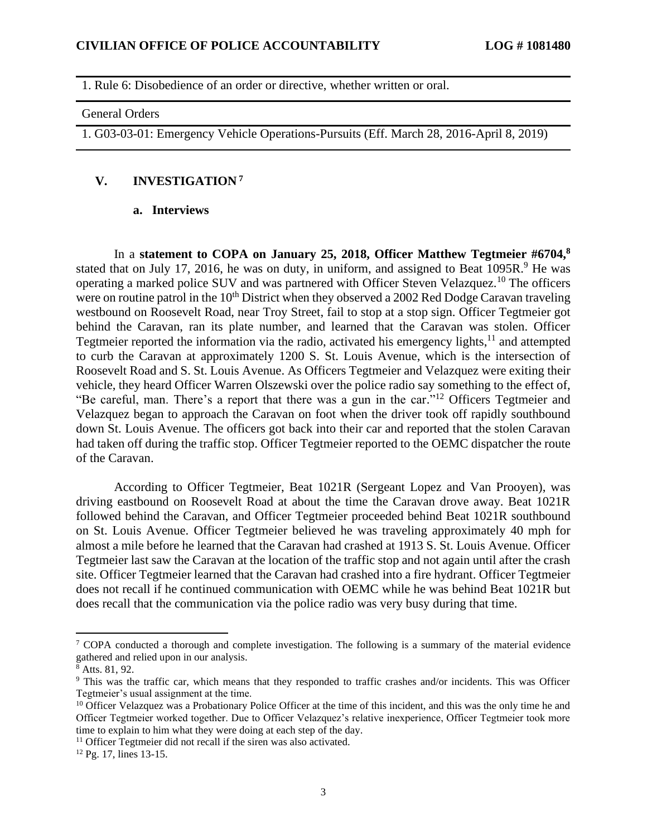1. Rule 6: Disobedience of an order or directive, whether written or oral.

#### General Orders

1. G03-03-01: Emergency Vehicle Operations-Pursuits (Eff. March 28, 2016-April 8, 2019)

#### **V. INVESTIGATION <sup>7</sup>**

#### **a. Interviews**

In a **statement to COPA on January 25, 2018, Officer Matthew Tegtmeier #6704,<sup>8</sup>** stated that on July 17, 2016, he was on duty, in uniform, and assigned to Beat 1095R.<sup>9</sup> He was operating a marked police SUV and was partnered with Officer Steven Velazquez.<sup>10</sup> The officers were on routine patrol in the  $10<sup>th</sup>$  District when they observed a 2002 Red Dodge Caravan traveling westbound on Roosevelt Road, near Troy Street, fail to stop at a stop sign. Officer Tegtmeier got behind the Caravan, ran its plate number, and learned that the Caravan was stolen. Officer Tegtmeier reported the information via the radio, activated his emergency lights,<sup>11</sup> and attempted to curb the Caravan at approximately 1200 S. St. Louis Avenue, which is the intersection of Roosevelt Road and S. St. Louis Avenue. As Officers Tegtmeier and Velazquez were exiting their vehicle, they heard Officer Warren Olszewski over the police radio say something to the effect of, "Be careful, man. There's a report that there was a gun in the car."<sup>12</sup> Officers Tegtmeier and Velazquez began to approach the Caravan on foot when the driver took off rapidly southbound down St. Louis Avenue. The officers got back into their car and reported that the stolen Caravan had taken off during the traffic stop. Officer Tegtmeier reported to the OEMC dispatcher the route of the Caravan.

According to Officer Tegtmeier, Beat 1021R (Sergeant Lopez and Van Prooyen), was driving eastbound on Roosevelt Road at about the time the Caravan drove away. Beat 1021R followed behind the Caravan, and Officer Tegtmeier proceeded behind Beat 1021R southbound on St. Louis Avenue. Officer Tegtmeier believed he was traveling approximately 40 mph for almost a mile before he learned that the Caravan had crashed at 1913 S. St. Louis Avenue. Officer Tegtmeier last saw the Caravan at the location of the traffic stop and not again until after the crash site. Officer Tegtmeier learned that the Caravan had crashed into a fire hydrant. Officer Tegtmeier does not recall if he continued communication with OEMC while he was behind Beat 1021R but does recall that the communication via the police radio was very busy during that time.

<sup>&</sup>lt;sup>7</sup> COPA conducted a thorough and complete investigation. The following is a summary of the material evidence gathered and relied upon in our analysis.

 $8$  Atts. 81, 92.

<sup>9</sup> This was the traffic car, which means that they responded to traffic crashes and/or incidents. This was Officer Tegtmeier's usual assignment at the time.

 $10$  Officer Velazquez was a Probationary Police Officer at the time of this incident, and this was the only time he and Officer Tegtmeier worked together. Due to Officer Velazquez's relative inexperience, Officer Tegtmeier took more time to explain to him what they were doing at each step of the day.

<sup>&</sup>lt;sup>11</sup> Officer Tegtmeier did not recall if the siren was also activated.

<sup>12</sup> Pg. 17, lines 13-15.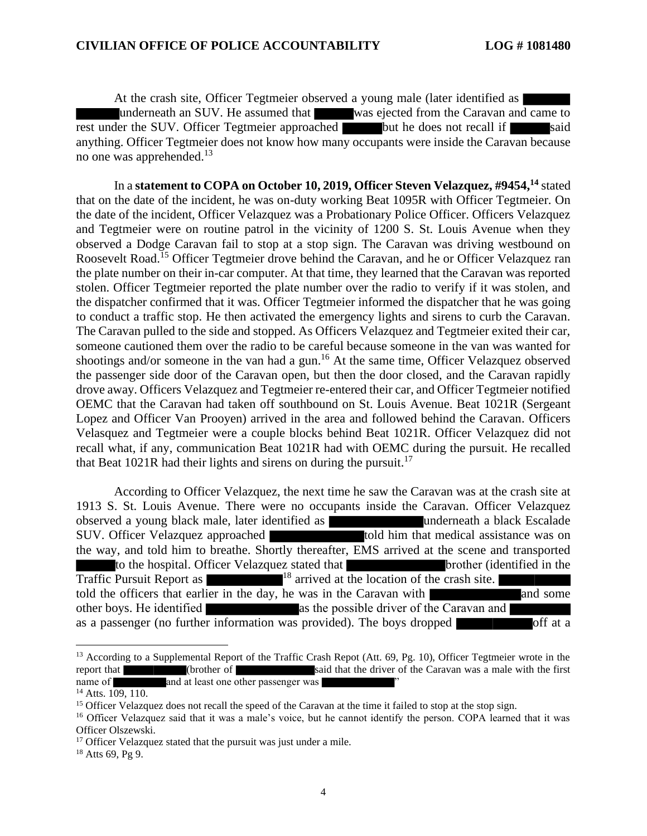At the crash site, Officer Tegtmeier observed a young male (later identified as  $\vert$ underneath an SUV. He assumed that was ejected from the Caravan and came to rest under the SUV. Officer Tegtmeier approached but he does not recall if said anything. Officer Tegtmeier does not know how many occupants were inside the Caravan because no one was apprehended.<sup>13</sup>

In a **statement to COPA on October 10, 2019, Officer Steven Velazquez, #9454, <sup>14</sup>** stated that on the date of the incident, he was on-duty working Beat 1095R with Officer Tegtmeier. On the date of the incident, Officer Velazquez was a Probationary Police Officer. Officers Velazquez and Tegtmeier were on routine patrol in the vicinity of 1200 S. St. Louis Avenue when they observed a Dodge Caravan fail to stop at a stop sign. The Caravan was driving westbound on Roosevelt Road.<sup>15</sup> Officer Tegtmeier drove behind the Caravan, and he or Officer Velazquez ran the plate number on their in-car computer. At that time, they learned that the Caravan was reported stolen. Officer Tegtmeier reported the plate number over the radio to verify if it was stolen, and the dispatcher confirmed that it was. Officer Tegtmeier informed the dispatcher that he was going to conduct a traffic stop. He then activated the emergency lights and sirens to curb the Caravan. The Caravan pulled to the side and stopped. As Officers Velazquez and Tegtmeier exited their car, someone cautioned them over the radio to be careful because someone in the van was wanted for shootings and/or someone in the van had a gun.<sup>16</sup> At the same time, Officer Velazquez observed the passenger side door of the Caravan open, but then the door closed, and the Caravan rapidly drove away. Officers Velazquez and Tegtmeier re-entered their car, and Officer Tegtmeier notified OEMC that the Caravan had taken off southbound on St. Louis Avenue. Beat 1021R (Sergeant Lopez and Officer Van Prooyen) arrived in the area and followed behind the Caravan. Officers Velasquez and Tegtmeier were a couple blocks behind Beat 1021R. Officer Velazquez did not recall what, if any, communication Beat 1021R had with OEMC during the pursuit. He recalled that Beat 1021R had their lights and sirens on during the pursuit.<sup>17</sup>

According to Officer Velazquez, the next time he saw the Caravan was at the crash site at 1913 S. St. Louis Avenue. There were no occupants inside the Caravan. Officer Velazquez observed a young black male, later identified as underneath a black Escalade SUV. Officer Velazquez approached told him that medical assistance was on the way, and told him to breathe. Shortly thereafter, EMS arrived at the scene and transported to the hospital. Officer Velazquez stated that brother (identified in the Traffic Pursuit Report as 18 arrived at the location of the crash site. told the officers that earlier in the day, he was in the Caravan with and some other boys. He identified as the possible driver of the Caravan and as a passenger (no further information was provided). The boys dropped

<sup>&</sup>lt;sup>13</sup> According to a Supplemental Report of the Traffic Crash Repot (Att. 69, Pg. 10), Officer Tegtmeier wrote in the report that (brother of said that the driver of the Caravan was a male with the first name of and at least one other passenger was

 $14$  Atts.  $109, 110$ .

<sup>&</sup>lt;sup>15</sup> Officer Velazquez does not recall the speed of the Caravan at the time it failed to stop at the stop sign.

<sup>&</sup>lt;sup>16</sup> Officer Velazquez said that it was a male's voice, but he cannot identify the person. COPA learned that it was Officer Olszewski.

<sup>&</sup>lt;sup>17</sup> Officer Velazquez stated that the pursuit was just under a mile.

 $18$  Atts 69, Pg 9.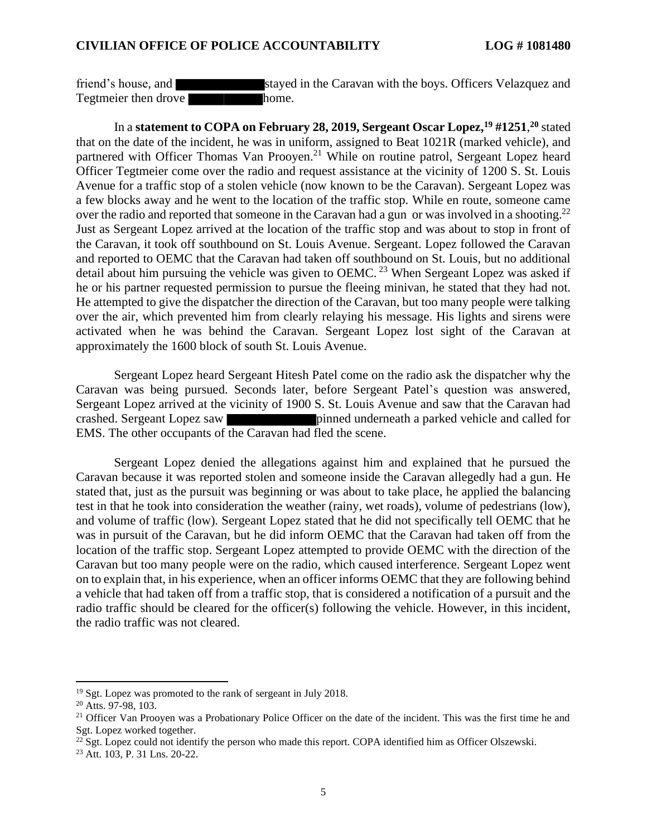friend's house, and stayed in the Caravan with the boys. Officers Velazquez and Tegtmeier then drove home.

In a **statement to COPA on February 28, 2019, Sergeant Oscar Lopez, <sup>19</sup> #1251**, **<sup>20</sup>** stated that on the date of the incident, he was in uniform, assigned to Beat 1021R (marked vehicle), and partnered with Officer Thomas Van Prooyen.<sup>21</sup> While on routine patrol, Sergeant Lopez heard Officer Tegtmeier come over the radio and request assistance at the vicinity of 1200 S. St. Louis Avenue for a traffic stop of a stolen vehicle (now known to be the Caravan). Sergeant Lopez was a few blocks away and he went to the location of the traffic stop. While en route, someone came over the radio and reported that someone in the Caravan had a gun or was involved in a shooting.<sup>22</sup> Just as Sergeant Lopez arrived at the location of the traffic stop and was about to stop in front of the Caravan, it took off southbound on St. Louis Avenue. Sergeant. Lopez followed the Caravan and reported to OEMC that the Caravan had taken off southbound on St. Louis, but no additional detail about him pursuing the vehicle was given to OEMC.<sup>23</sup> When Sergeant Lopez was asked if he or his partner requested permission to pursue the fleeing minivan, he stated that they had not. He attempted to give the dispatcher the direction of the Caravan, but too many people were talking over the air, which prevented him from clearly relaying his message. His lights and sirens were activated when he was behind the Caravan. Sergeant Lopez lost sight of the Caravan at approximately the 1600 block of south St. Louis Avenue.

Sergeant Lopez heard Sergeant Hitesh Patel come on the radio ask the dispatcher why the Caravan was being pursued. Seconds later, before Sergeant Patel's question was answered, Sergeant Lopez arrived at the vicinity of 1900 S. St. Louis Avenue and saw that the Caravan had crashed. Sergeant Lopez saw pinned underneath a parked vehicle and called for EMS. The other occupants of the Caravan had fled the scene.

Sergeant Lopez denied the allegations against him and explained that he pursued the Caravan because it was reported stolen and someone inside the Caravan allegedly had a gun. He stated that, just as the pursuit was beginning or was about to take place, he applied the balancing test in that he took into consideration the weather (rainy, wet roads), volume of pedestrians (low), and volume of traffic (low). Sergeant Lopez stated that he did not specifically tell OEMC that he was in pursuit of the Caravan, but he did inform OEMC that the Caravan had taken off from the location of the traffic stop. Sergeant Lopez attempted to provide OEMC with the direction of the Caravan but too many people were on the radio, which caused interference. Sergeant Lopez went on to explain that, in his experience, when an officer informs OEMC that they are following behind a vehicle that had taken off from a traffic stop, that is considered a notification of a pursuit and the radio traffic should be cleared for the officer(s) following the vehicle. However, in this incident, the radio traffic was not cleared.

<sup>&</sup>lt;sup>19</sup> Sgt. Lopez was promoted to the rank of sergeant in July 2018.

<sup>20</sup> Atts. 97-98, 103.

<sup>&</sup>lt;sup>21</sup> Officer Van Prooyen was a Probationary Police Officer on the date of the incident. This was the first time he and Sgt. Lopez worked together.

 $22$  Sgt. Lopez could not identify the person who made this report. COPA identified him as Officer Olszewski.

<sup>23</sup> Att. 103, P. 31 Lns. 20-22.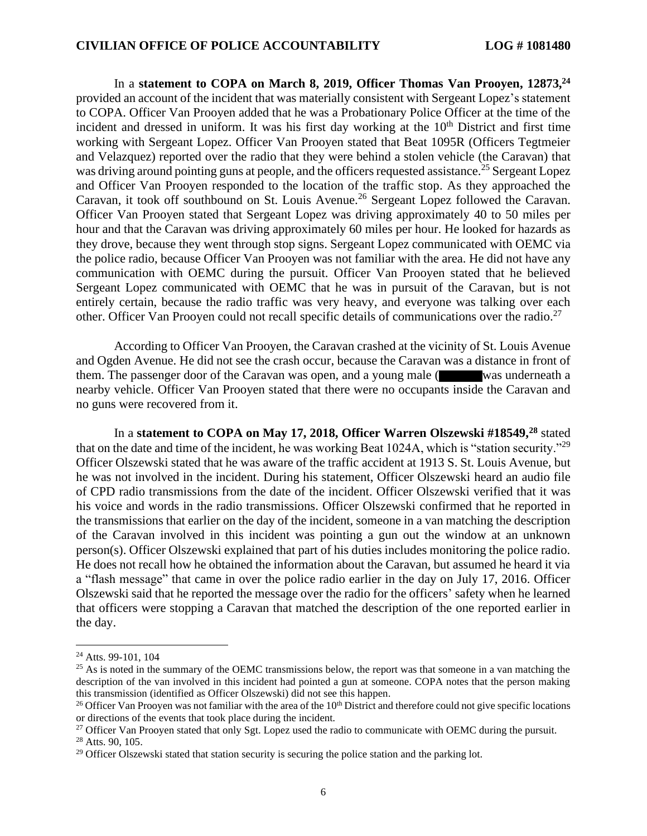In a **statement to COPA on March 8, 2019, Officer Thomas Van Prooyen, 12873,<sup>24</sup>** provided an account of the incident that was materially consistent with Sergeant Lopez's statement to COPA. Officer Van Prooyen added that he was a Probationary Police Officer at the time of the incident and dressed in uniform. It was his first day working at the  $10<sup>th</sup>$  District and first time working with Sergeant Lopez. Officer Van Prooyen stated that Beat 1095R (Officers Tegtmeier and Velazquez) reported over the radio that they were behind a stolen vehicle (the Caravan) that was driving around pointing guns at people, and the officers requested assistance.<sup>25</sup> Sergeant Lopez and Officer Van Prooyen responded to the location of the traffic stop. As they approached the Caravan, it took off southbound on St. Louis Avenue.<sup>26</sup> Sergeant Lopez followed the Caravan. Officer Van Prooyen stated that Sergeant Lopez was driving approximately 40 to 50 miles per hour and that the Caravan was driving approximately 60 miles per hour. He looked for hazards as they drove, because they went through stop signs. Sergeant Lopez communicated with OEMC via the police radio, because Officer Van Prooyen was not familiar with the area. He did not have any communication with OEMC during the pursuit. Officer Van Prooyen stated that he believed Sergeant Lopez communicated with OEMC that he was in pursuit of the Caravan, but is not entirely certain, because the radio traffic was very heavy, and everyone was talking over each other. Officer Van Prooyen could not recall specific details of communications over the radio.<sup>27</sup>

According to Officer Van Prooyen, the Caravan crashed at the vicinity of St. Louis Avenue and Ogden Avenue. He did not see the crash occur, because the Caravan was a distance in front of them. The passenger door of the Caravan was open, and a young male ( was underneath a nearby vehicle. Officer Van Prooyen stated that there were no occupants inside the Caravan and no guns were recovered from it.

In a **statement to COPA on May 17, 2018, Officer Warren Olszewski #18549,<sup>28</sup>** stated that on the date and time of the incident, he was working Beat 1024A, which is "station security."<sup>29</sup> Officer Olszewski stated that he was aware of the traffic accident at 1913 S. St. Louis Avenue, but he was not involved in the incident. During his statement, Officer Olszewski heard an audio file of CPD radio transmissions from the date of the incident. Officer Olszewski verified that it was his voice and words in the radio transmissions. Officer Olszewski confirmed that he reported in the transmissions that earlier on the day of the incident, someone in a van matching the description of the Caravan involved in this incident was pointing a gun out the window at an unknown person(s). Officer Olszewski explained that part of his duties includes monitoring the police radio. He does not recall how he obtained the information about the Caravan, but assumed he heard it via a "flash message" that came in over the police radio earlier in the day on July 17, 2016. Officer Olszewski said that he reported the message over the radio for the officers' safety when he learned that officers were stopping a Caravan that matched the description of the one reported earlier in the day.

<sup>24</sup> Atts. 99-101, 104

<sup>&</sup>lt;sup>25</sup> As is noted in the summary of the OEMC transmissions below, the report was that someone in a van matching the description of the van involved in this incident had pointed a gun at someone. COPA notes that the person making this transmission (identified as Officer Olszewski) did not see this happen.

<sup>&</sup>lt;sup>26</sup> Officer Van Prooyen was not familiar with the area of the  $10<sup>th</sup>$  District and therefore could not give specific locations or directions of the events that took place during the incident.

<sup>&</sup>lt;sup>27</sup> Officer Van Prooyen stated that only Sgt. Lopez used the radio to communicate with OEMC during the pursuit.

<sup>28</sup> Atts. 90, 105.

 $29$  Officer Olszewski stated that station security is securing the police station and the parking lot.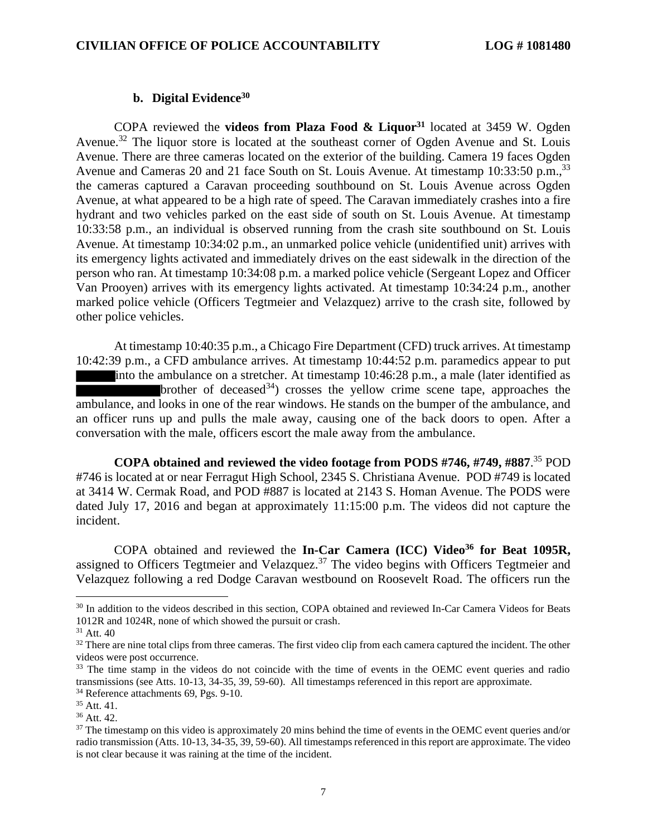## **b. Digital Evidence<sup>30</sup>**

COPA reviewed the **videos from Plaza Food & Liquor<sup>31</sup>** located at 3459 W. Ogden Avenue.<sup>32</sup> The liquor store is located at the southeast corner of Ogden Avenue and St. Louis Avenue. There are three cameras located on the exterior of the building. Camera 19 faces Ogden Avenue and Cameras 20 and 21 face South on St. Louis Avenue. At timestamp 10:33:50 p.m.,<sup>33</sup> the cameras captured a Caravan proceeding southbound on St. Louis Avenue across Ogden Avenue, at what appeared to be a high rate of speed. The Caravan immediately crashes into a fire hydrant and two vehicles parked on the east side of south on St. Louis Avenue. At timestamp 10:33:58 p.m., an individual is observed running from the crash site southbound on St. Louis Avenue. At timestamp 10:34:02 p.m., an unmarked police vehicle (unidentified unit) arrives with its emergency lights activated and immediately drives on the east sidewalk in the direction of the person who ran. At timestamp 10:34:08 p.m. a marked police vehicle (Sergeant Lopez and Officer Van Prooyen) arrives with its emergency lights activated. At timestamp 10:34:24 p.m., another marked police vehicle (Officers Tegtmeier and Velazquez) arrive to the crash site, followed by other police vehicles.

At timestamp 10:40:35 p.m., a Chicago Fire Department (CFD) truck arrives. At timestamp 10:42:39 p.m., a CFD ambulance arrives. At timestamp 10:44:52 p.m. paramedics appear to put into the ambulance on a stretcher. At timestamp 10:46:28 p.m., a male (later identified as brother of deceased  $34$ ) crosses the yellow crime scene tape, approaches the ambulance, and looks in one of the rear windows. He stands on the bumper of the ambulance, and an officer runs up and pulls the male away, causing one of the back doors to open. After a conversation with the male, officers escort the male away from the ambulance.

**COPA obtained and reviewed the video footage from PODS #746, #749, #887**. <sup>35</sup> POD #746 is located at or near Ferragut High School, 2345 S. Christiana Avenue. POD #749 is located at 3414 W. Cermak Road, and POD #887 is located at 2143 S. Homan Avenue. The PODS were dated July 17, 2016 and began at approximately 11:15:00 p.m. The videos did not capture the incident.

COPA obtained and reviewed the **In-Car Camera (ICC) Video<sup>36</sup> for Beat 1095R,** assigned to Officers Tegtmeier and Velazquez.<sup>37</sup> The video begins with Officers Tegtmeier and Velazquez following a red Dodge Caravan westbound on Roosevelt Road. The officers run the

<sup>&</sup>lt;sup>30</sup> In addition to the videos described in this section, COPA obtained and reviewed In-Car Camera Videos for Beats 1012R and 1024R, none of which showed the pursuit or crash.

<sup>31</sup> Att. 40

<sup>&</sup>lt;sup>32</sup> There are nine total clips from three cameras. The first video clip from each camera captured the incident. The other videos were post occurrence.

<sup>&</sup>lt;sup>33</sup> The time stamp in the videos do not coincide with the time of events in the OEMC event queries and radio transmissions (see Atts. 10-13, 34-35, 39, 59-60). All timestamps referenced in this report are approximate.

<sup>34</sup> Reference attachments 69, Pgs. 9-10.

<sup>35</sup> Att. 41.

<sup>36</sup> Att. 42.

<sup>&</sup>lt;sup>37</sup> The timestamp on this video is approximately 20 mins behind the time of events in the OEMC event queries and/or radio transmission (Atts. 10-13, 34-35, 39, 59-60). All timestamps referenced in this report are approximate. The video is not clear because it was raining at the time of the incident.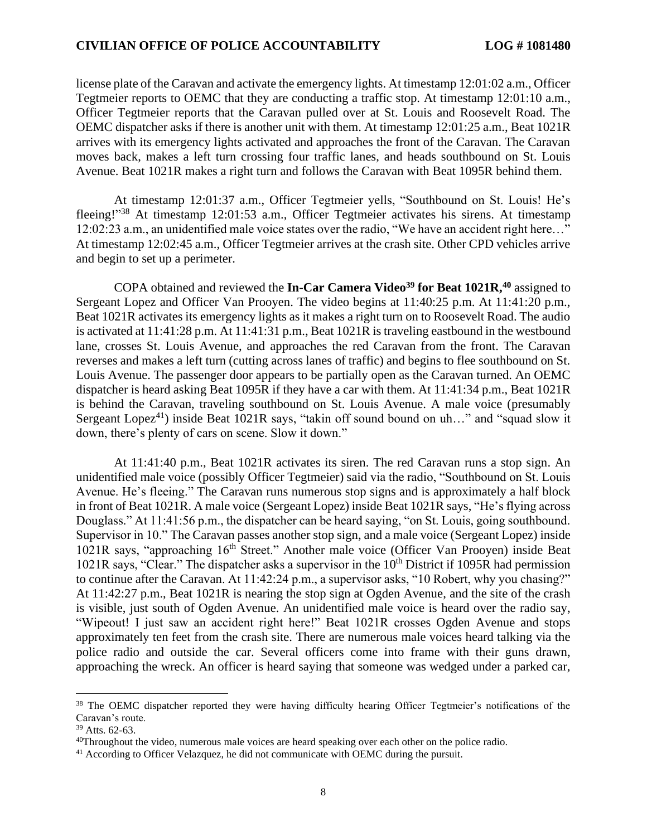license plate of the Caravan and activate the emergency lights. At timestamp 12:01:02 a.m., Officer Tegtmeier reports to OEMC that they are conducting a traffic stop. At timestamp 12:01:10 a.m., Officer Tegtmeier reports that the Caravan pulled over at St. Louis and Roosevelt Road. The OEMC dispatcher asks if there is another unit with them. At timestamp 12:01:25 a.m., Beat 1021R arrives with its emergency lights activated and approaches the front of the Caravan. The Caravan moves back, makes a left turn crossing four traffic lanes, and heads southbound on St. Louis Avenue. Beat 1021R makes a right turn and follows the Caravan with Beat 1095R behind them.

At timestamp 12:01:37 a.m., Officer Tegtmeier yells, "Southbound on St. Louis! He's fleeing!"<sup>38</sup> At timestamp 12:01:53 a.m., Officer Tegtmeier activates his sirens. At timestamp 12:02:23 a.m., an unidentified male voice states over the radio, "We have an accident right here…" At timestamp 12:02:45 a.m., Officer Tegtmeier arrives at the crash site. Other CPD vehicles arrive and begin to set up a perimeter.

COPA obtained and reviewed the **In-Car Camera Video<sup>39</sup> for Beat 1021R, <sup>40</sup>** assigned to Sergeant Lopez and Officer Van Prooyen. The video begins at 11:40:25 p.m. At 11:41:20 p.m., Beat 1021R activates its emergency lights as it makes a right turn on to Roosevelt Road. The audio is activated at 11:41:28 p.m. At 11:41:31 p.m., Beat 1021R is traveling eastbound in the westbound lane, crosses St. Louis Avenue, and approaches the red Caravan from the front. The Caravan reverses and makes a left turn (cutting across lanes of traffic) and begins to flee southbound on St. Louis Avenue. The passenger door appears to be partially open as the Caravan turned. An OEMC dispatcher is heard asking Beat 1095R if they have a car with them. At 11:41:34 p.m., Beat 1021R is behind the Caravan, traveling southbound on St. Louis Avenue. A male voice (presumably Sergeant Lopez<sup>41</sup>) inside Beat 1021R says, "takin off sound bound on uh..." and "squad slow it down, there's plenty of cars on scene. Slow it down."

At 11:41:40 p.m., Beat 1021R activates its siren. The red Caravan runs a stop sign. An unidentified male voice (possibly Officer Tegtmeier) said via the radio, "Southbound on St. Louis Avenue. He's fleeing." The Caravan runs numerous stop signs and is approximately a half block in front of Beat 1021R. A male voice (Sergeant Lopez) inside Beat 1021R says, "He's flying across Douglass." At 11:41:56 p.m., the dispatcher can be heard saying, "on St. Louis, going southbound. Supervisor in 10." The Caravan passes another stop sign, and a male voice (Sergeant Lopez) inside  $1021R$  says, "approaching  $16<sup>th</sup>$  Street." Another male voice (Officer Van Prooyen) inside Beat  $1021R$  says, "Clear." The dispatcher asks a supervisor in the  $10<sup>th</sup>$  District if 1095R had permission to continue after the Caravan. At 11:42:24 p.m., a supervisor asks, "10 Robert, why you chasing?" At 11:42:27 p.m., Beat 1021R is nearing the stop sign at Ogden Avenue, and the site of the crash is visible, just south of Ogden Avenue. An unidentified male voice is heard over the radio say, "Wipeout! I just saw an accident right here!" Beat 1021R crosses Ogden Avenue and stops approximately ten feet from the crash site. There are numerous male voices heard talking via the police radio and outside the car. Several officers come into frame with their guns drawn, approaching the wreck. An officer is heard saying that someone was wedged under a parked car,

<sup>38</sup> The OEMC dispatcher reported they were having difficulty hearing Officer Tegtmeier's notifications of the Caravan's route.

<sup>39</sup> Atts. 62-63.

<sup>&</sup>lt;sup>40</sup>Throughout the video, numerous male voices are heard speaking over each other on the police radio.

<sup>&</sup>lt;sup>41</sup> According to Officer Velazquez, he did not communicate with OEMC during the pursuit.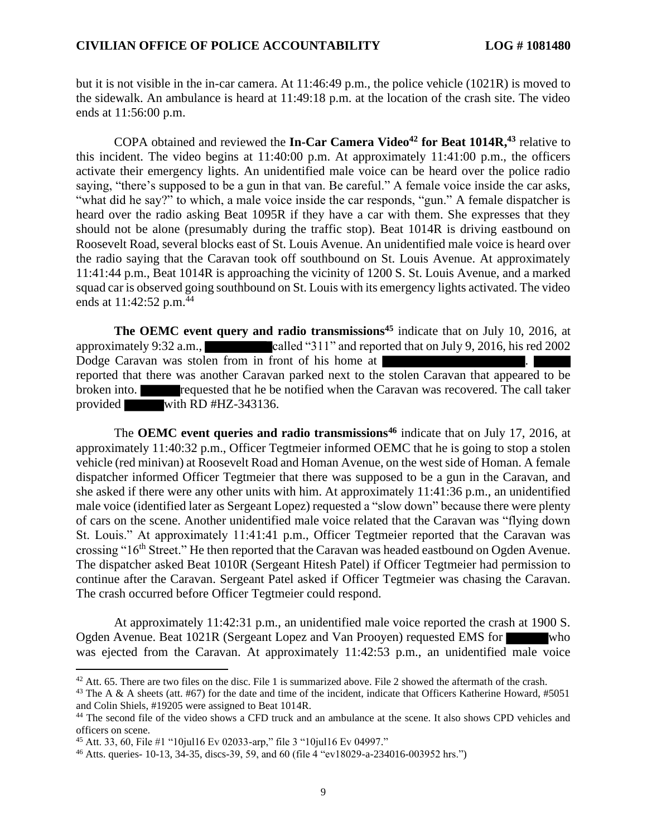but it is not visible in the in-car camera. At 11:46:49 p.m., the police vehicle (1021R) is moved to the sidewalk. An ambulance is heard at 11:49:18 p.m. at the location of the crash site. The video ends at 11:56:00 p.m.

COPA obtained and reviewed the **In-Car Camera Video<sup>42</sup> for Beat 1014R,<sup>43</sup>** relative to this incident. The video begins at 11:40:00 p.m. At approximately 11:41:00 p.m., the officers activate their emergency lights. An unidentified male voice can be heard over the police radio saying, "there's supposed to be a gun in that van. Be careful." A female voice inside the car asks, "what did he say?" to which, a male voice inside the car responds, "gun." A female dispatcher is heard over the radio asking Beat 1095R if they have a car with them. She expresses that they should not be alone (presumably during the traffic stop). Beat 1014R is driving eastbound on Roosevelt Road, several blocks east of St. Louis Avenue. An unidentified male voice is heard over the radio saying that the Caravan took off southbound on St. Louis Avenue. At approximately 11:41:44 p.m., Beat 1014R is approaching the vicinity of 1200 S. St. Louis Avenue, and a marked squad car is observed going southbound on St. Louis with its emergency lights activated. The video ends at  $11:42:52$  p.m.<sup>44</sup>

**The OEMC event query and radio transmissions<sup>45</sup>** indicate that on July 10, 2016, at approximately 9:32 a.m., called "311" and reported that on July 9, 2016, his red 2002 Dodge Caravan was stolen from in front of his home at . reported that there was another Caravan parked next to the stolen Caravan that appeared to be broken into. **requested that he be notified when the Caravan was recovered. The call taker** provided with RD #HZ-343136.

The **OEMC event queries and radio transmissions<sup>46</sup>** indicate that on July 17, 2016, at approximately 11:40:32 p.m., Officer Tegtmeier informed OEMC that he is going to stop a stolen vehicle (red minivan) at Roosevelt Road and Homan Avenue, on the west side of Homan. A female dispatcher informed Officer Tegtmeier that there was supposed to be a gun in the Caravan, and she asked if there were any other units with him. At approximately 11:41:36 p.m., an unidentified male voice (identified later as Sergeant Lopez) requested a "slow down" because there were plenty of cars on the scene. Another unidentified male voice related that the Caravan was "flying down St. Louis." At approximately 11:41:41 p.m., Officer Tegtmeier reported that the Caravan was crossing "16<sup>th</sup> Street." He then reported that the Caravan was headed eastbound on Ogden Avenue. The dispatcher asked Beat 1010R (Sergeant Hitesh Patel) if Officer Tegtmeier had permission to continue after the Caravan. Sergeant Patel asked if Officer Tegtmeier was chasing the Caravan. The crash occurred before Officer Tegtmeier could respond.

At approximately 11:42:31 p.m., an unidentified male voice reported the crash at 1900 S. Ogden Avenue. Beat 1021R (Sergeant Lopez and Van Prooyen) requested EMS for who was ejected from the Caravan. At approximately 11:42:53 p.m., an unidentified male voice

 $42$  Att. 65. There are two files on the disc. File 1 is summarized above. File 2 showed the aftermath of the crash.

<sup>&</sup>lt;sup>43</sup> The A & A sheets (att. #67) for the date and time of the incident, indicate that Officers Katherine Howard, #5051 and Colin Shiels, #19205 were assigned to Beat 1014R.

<sup>&</sup>lt;sup>44</sup> The second file of the video shows a CFD truck and an ambulance at the scene. It also shows CPD vehicles and officers on scene.

<sup>45</sup> Att. 33, 60, File #1 "10jul16 Ev 02033-arp," file 3 "10jul16 Ev 04997."

<sup>46</sup> Atts. queries- 10-13, 34-35, discs-39, 59, and 60 (file 4 "ev18029-a-234016-003952 hrs.")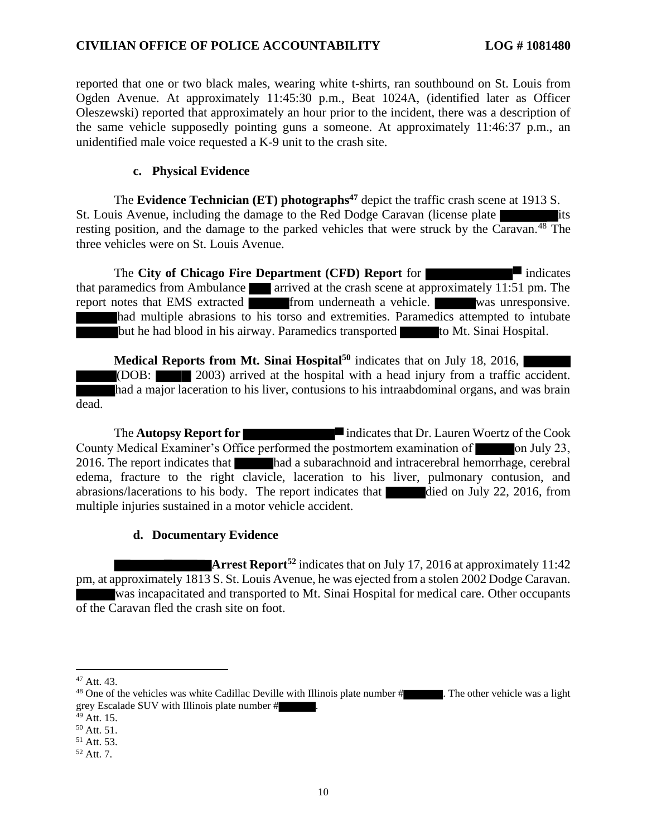reported that one or two black males, wearing white t-shirts, ran southbound on St. Louis from Ogden Avenue. At approximately 11:45:30 p.m., Beat 1024A, (identified later as Officer Oleszewski) reported that approximately an hour prior to the incident, there was a description of the same vehicle supposedly pointing guns a someone. At approximately 11:46:37 p.m., an unidentified male voice requested a K-9 unit to the crash site.

#### **c. Physical Evidence**

The **Evidence Technician (ET) photographs<sup>47</sup>** depict the traffic crash scene at 1913 S. St. Louis Avenue, including the damage to the Red Dodge Caravan (license plate resting position, and the damage to the parked vehicles that were struck by the Caravan.<sup>48</sup> The three vehicles were on St. Louis Avenue.

The **City of Chicago Fire Department (CFD) Report** for that paramedics from Ambulance arrived at the crash scene at approximately 11:51 pm. The report notes that EMS extracted from underneath a vehicle. was unresponsive. had multiple abrasions to his torso and extremities. Paramedics attempted to intubate but he had blood in his airway. Paramedics transported to Mt. Sinai Hospital.

**Medical Reports from Mt. Sinai Hospital<sup>50</sup>** indicates that on July 18, 2016, (DOB: 2003) arrived at the hospital with a head injury from a traffic accident. had a major laceration to his liver, contusions to his intraabdominal organs, and was brain dead.

The **Autopsy Report for indicates that Dr. Lauren Woertz of the Cook** County Medical Examiner's Office performed the postmortem examination of **October 10** on July 23, 2016. The report indicates that had a subarachnoid and intracerebral hemorrhage, cerebral edema, fracture to the right clavicle, laceration to his liver, pulmonary contusion, and abrasions/lacerations to his body. The report indicates that died on July 22, 2016, from multiple injuries sustained in a motor vehicle accident.

#### **d. Documentary Evidence**

**Arrest Report<sup>52</sup>** indicates that on July 17, 2016 at approximately 11:42 pm, at approximately 1813 S. St. Louis Avenue, he was ejected from a stolen 2002 Dodge Caravan. was incapacitated and transported to Mt. Sinai Hospital for medical care. Other occupants of the Caravan fled the crash site on foot.

 $47$  Att. 43.

<sup>&</sup>lt;sup>48</sup> One of the vehicles was white Cadillac Deville with Illinois plate number # . The other vehicle was a light grey Escalade SUV with Illinois plate number # .

 $49$  Att. 15.

<sup>50</sup> Att. 51.

<sup>51</sup> Att. 53.

 $52$  Att. 7.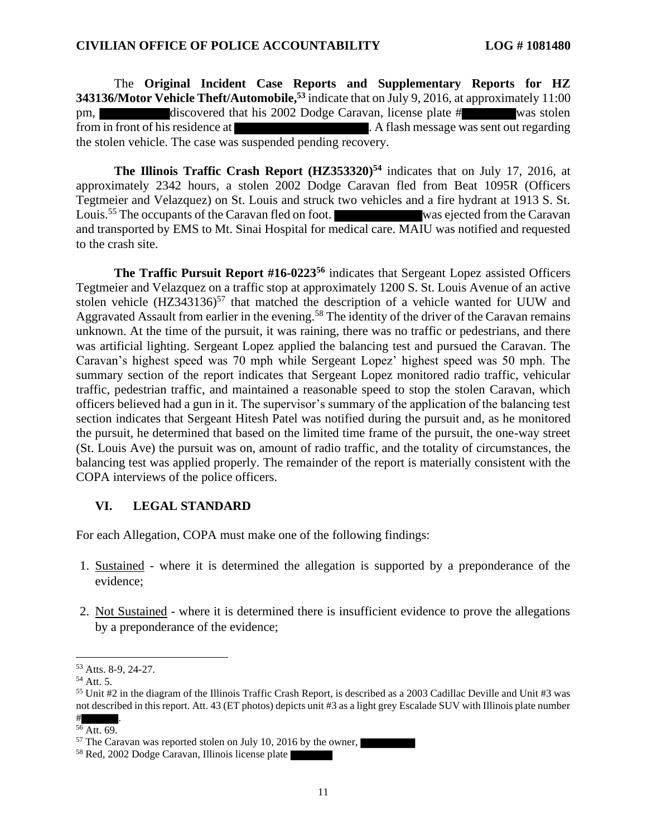The **Original Incident Case Reports and Supplementary Reports for HZ 343136/Motor Vehicle Theft/Automobile, <sup>53</sup>** indicate that on July 9, 2016, at approximately 11:00 pm, discovered that his 2002 Dodge Caravan, license plate # was stolen from in front of his residence at . A flash message was sent out regarding the stolen vehicle. The case was suspended pending recovery.

**The Illinois Traffic Crash Report (HZ353320)<sup>54</sup>** indicates that on July 17, 2016, at approximately 2342 hours, a stolen 2002 Dodge Caravan fled from Beat 1095R (Officers Tegtmeier and Velazquez) on St. Louis and struck two vehicles and a fire hydrant at 1913 S. St. Louis.<sup>55</sup> The occupants of the Caravan fled on foot. Was ejected from the Caravan and transported by EMS to Mt. Sinai Hospital for medical care. MAIU was notified and requested to the crash site.

**The Traffic Pursuit Report #16-0223<sup>56</sup>** indicates that Sergeant Lopez assisted Officers Tegtmeier and Velazquez on a traffic stop at approximately 1200 S. St. Louis Avenue of an active stolen vehicle  $(HZ343136)^{57}$  that matched the description of a vehicle wanted for UUW and Aggravated Assault from earlier in the evening.<sup>58</sup> The identity of the driver of the Caravan remains unknown. At the time of the pursuit, it was raining, there was no traffic or pedestrians, and there was artificial lighting. Sergeant Lopez applied the balancing test and pursued the Caravan. The Caravan's highest speed was 70 mph while Sergeant Lopez' highest speed was 50 mph. The summary section of the report indicates that Sergeant Lopez monitored radio traffic, vehicular traffic, pedestrian traffic, and maintained a reasonable speed to stop the stolen Caravan, which officers believed had a gun in it. The supervisor's summary of the application of the balancing test section indicates that Sergeant Hitesh Patel was notified during the pursuit and, as he monitored the pursuit, he determined that based on the limited time frame of the pursuit, the one-way street (St. Louis Ave) the pursuit was on, amount of radio traffic, and the totality of circumstances, the balancing test was applied properly. The remainder of the report is materially consistent with the COPA interviews of the police officers.

#### **VI. LEGAL STANDARD**

For each Allegation, COPA must make one of the following findings:

- 1. Sustained where it is determined the allegation is supported by a preponderance of the evidence;
- 2. Not Sustained where it is determined there is insufficient evidence to prove the allegations by a preponderance of the evidence;

<sup>53</sup> Atts. 8-9, 24-27.

<sup>54</sup> Att. 5.

<sup>55</sup> Unit #2 in the diagram of the Illinois Traffic Crash Report, is described as a 2003 Cadillac Deville and Unit #3 was not described in this report. Att. 43 (ET photos) depicts unit #3 as a light grey Escalade SUV with Illinois plate number

 $\#$  . <sup>56</sup> Att. 69.

<sup>57</sup> The Caravan was reported stolen on July 10, 2016 by the owner,

<sup>58</sup> Red, 2002 Dodge Caravan, Illinois license plate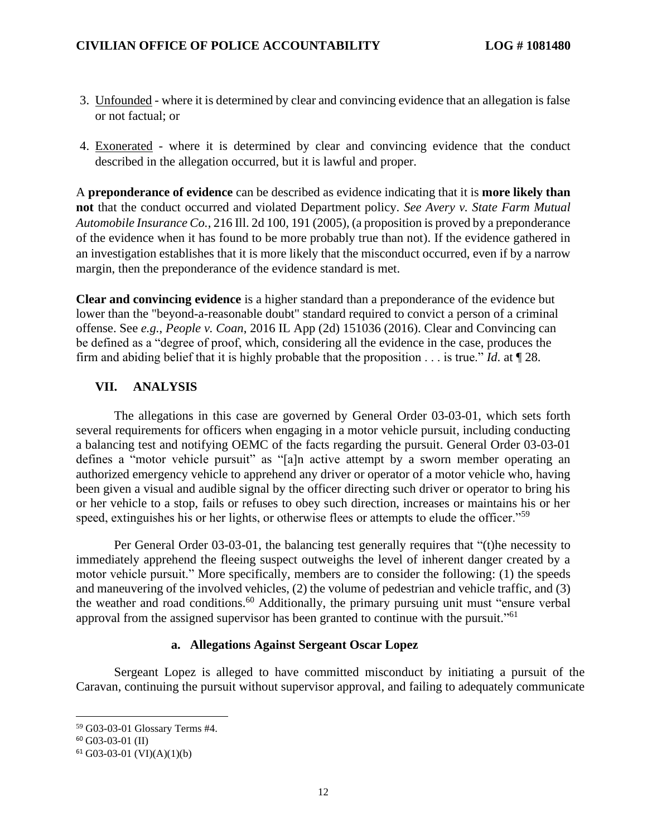- 3. Unfounded where it is determined by clear and convincing evidence that an allegation is false or not factual; or
- 4. Exonerated where it is determined by clear and convincing evidence that the conduct described in the allegation occurred, but it is lawful and proper.

A **preponderance of evidence** can be described as evidence indicating that it is **more likely than not** that the conduct occurred and violated Department policy. *See Avery v. State Farm Mutual Automobile Insurance Co.*, 216 Ill. 2d 100, 191 (2005), (a proposition is proved by a preponderance of the evidence when it has found to be more probably true than not). If the evidence gathered in an investigation establishes that it is more likely that the misconduct occurred, even if by a narrow margin, then the preponderance of the evidence standard is met.

**Clear and convincing evidence** is a higher standard than a preponderance of the evidence but lower than the "beyond-a-reasonable doubt" standard required to convict a person of a criminal offense. See *e.g.*, *People v. Coan*, 2016 IL App (2d) 151036 (2016). Clear and Convincing can be defined as a "degree of proof, which, considering all the evidence in the case, produces the firm and abiding belief that it is highly probable that the proposition . . . is true." *Id*. at ¶ 28.

### **VII. ANALYSIS**

The allegations in this case are governed by General Order 03-03-01, which sets forth several requirements for officers when engaging in a motor vehicle pursuit, including conducting a balancing test and notifying OEMC of the facts regarding the pursuit. General Order 03-03-01 defines a "motor vehicle pursuit" as "[a]n active attempt by a sworn member operating an authorized emergency vehicle to apprehend any driver or operator of a motor vehicle who, having been given a visual and audible signal by the officer directing such driver or operator to bring his or her vehicle to a stop, fails or refuses to obey such direction, increases or maintains his or her speed, extinguishes his or her lights, or otherwise flees or attempts to elude the officer."<sup>59</sup>

Per General Order 03-03-01, the balancing test generally requires that "(t)he necessity to immediately apprehend the fleeing suspect outweighs the level of inherent danger created by a motor vehicle pursuit." More specifically, members are to consider the following: (1) the speeds and maneuvering of the involved vehicles, (2) the volume of pedestrian and vehicle traffic, and (3) the weather and road conditions.<sup>60</sup> Additionally, the primary pursuing unit must "ensure verbal" approval from the assigned supervisor has been granted to continue with the pursuit."<sup>61</sup>

### **a. Allegations Against Sergeant Oscar Lopez**

Sergeant Lopez is alleged to have committed misconduct by initiating a pursuit of the Caravan, continuing the pursuit without supervisor approval, and failing to adequately communicate

<sup>59</sup> G03-03-01 Glossary Terms #4.

 $60$  G03-03-01 (II)

 $61$  G03-03-01 (VI)(A)(1)(b)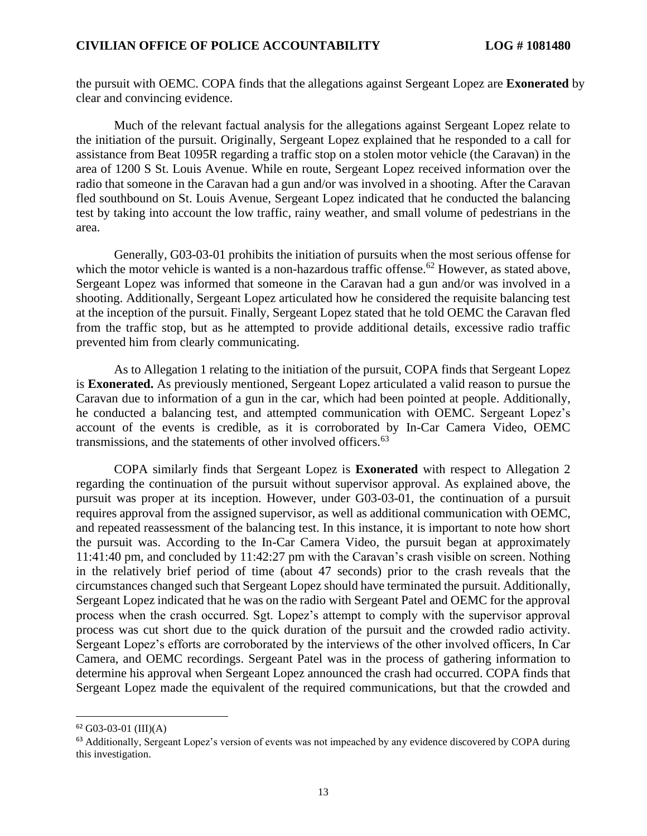the pursuit with OEMC. COPA finds that the allegations against Sergeant Lopez are **Exonerated** by clear and convincing evidence.

Much of the relevant factual analysis for the allegations against Sergeant Lopez relate to the initiation of the pursuit. Originally, Sergeant Lopez explained that he responded to a call for assistance from Beat 1095R regarding a traffic stop on a stolen motor vehicle (the Caravan) in the area of 1200 S St. Louis Avenue. While en route, Sergeant Lopez received information over the radio that someone in the Caravan had a gun and/or was involved in a shooting. After the Caravan fled southbound on St. Louis Avenue, Sergeant Lopez indicated that he conducted the balancing test by taking into account the low traffic, rainy weather, and small volume of pedestrians in the area.

Generally, G03-03-01 prohibits the initiation of pursuits when the most serious offense for which the motor vehicle is wanted is a non-hazardous traffic offense.<sup>62</sup> However, as stated above, Sergeant Lopez was informed that someone in the Caravan had a gun and/or was involved in a shooting. Additionally, Sergeant Lopez articulated how he considered the requisite balancing test at the inception of the pursuit. Finally, Sergeant Lopez stated that he told OEMC the Caravan fled from the traffic stop, but as he attempted to provide additional details, excessive radio traffic prevented him from clearly communicating.

As to Allegation 1 relating to the initiation of the pursuit, COPA finds that Sergeant Lopez is **Exonerated.** As previously mentioned, Sergeant Lopez articulated a valid reason to pursue the Caravan due to information of a gun in the car, which had been pointed at people. Additionally, he conducted a balancing test, and attempted communication with OEMC. Sergeant Lopez's account of the events is credible, as it is corroborated by In-Car Camera Video, OEMC transmissions, and the statements of other involved officers.<sup>63</sup>

COPA similarly finds that Sergeant Lopez is **Exonerated** with respect to Allegation 2 regarding the continuation of the pursuit without supervisor approval. As explained above, the pursuit was proper at its inception. However, under G03-03-01, the continuation of a pursuit requires approval from the assigned supervisor, as well as additional communication with OEMC, and repeated reassessment of the balancing test. In this instance, it is important to note how short the pursuit was. According to the In-Car Camera Video, the pursuit began at approximately 11:41:40 pm, and concluded by 11:42:27 pm with the Caravan's crash visible on screen. Nothing in the relatively brief period of time (about 47 seconds) prior to the crash reveals that the circumstances changed such that Sergeant Lopez should have terminated the pursuit. Additionally, Sergeant Lopez indicated that he was on the radio with Sergeant Patel and OEMC for the approval process when the crash occurred. Sgt. Lopez's attempt to comply with the supervisor approval process was cut short due to the quick duration of the pursuit and the crowded radio activity. Sergeant Lopez's efforts are corroborated by the interviews of the other involved officers, In Car Camera, and OEMC recordings. Sergeant Patel was in the process of gathering information to determine his approval when Sergeant Lopez announced the crash had occurred. COPA finds that Sergeant Lopez made the equivalent of the required communications, but that the crowded and

 $62$  G03-03-01 (III)(A)

<sup>&</sup>lt;sup>63</sup> Additionally, Sergeant Lopez's version of events was not impeached by any evidence discovered by COPA during this investigation.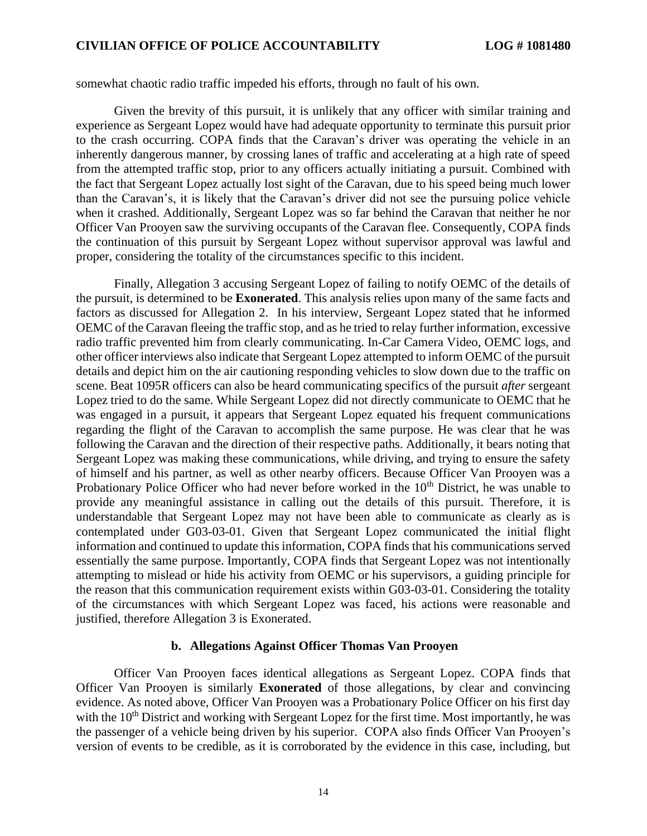somewhat chaotic radio traffic impeded his efforts, through no fault of his own.

Given the brevity of this pursuit, it is unlikely that any officer with similar training and experience as Sergeant Lopez would have had adequate opportunity to terminate this pursuit prior to the crash occurring. COPA finds that the Caravan's driver was operating the vehicle in an inherently dangerous manner, by crossing lanes of traffic and accelerating at a high rate of speed from the attempted traffic stop, prior to any officers actually initiating a pursuit. Combined with the fact that Sergeant Lopez actually lost sight of the Caravan, due to his speed being much lower than the Caravan's, it is likely that the Caravan's driver did not see the pursuing police vehicle when it crashed. Additionally, Sergeant Lopez was so far behind the Caravan that neither he nor Officer Van Prooyen saw the surviving occupants of the Caravan flee. Consequently, COPA finds the continuation of this pursuit by Sergeant Lopez without supervisor approval was lawful and proper, considering the totality of the circumstances specific to this incident.

Finally, Allegation 3 accusing Sergeant Lopez of failing to notify OEMC of the details of the pursuit, is determined to be **Exonerated**. This analysis relies upon many of the same facts and factors as discussed for Allegation 2. In his interview, Sergeant Lopez stated that he informed OEMC of the Caravan fleeing the traffic stop, and as he tried to relay further information, excessive radio traffic prevented him from clearly communicating. In-Car Camera Video, OEMC logs, and other officer interviews also indicate that Sergeant Lopez attempted to inform OEMC of the pursuit details and depict him on the air cautioning responding vehicles to slow down due to the traffic on scene. Beat 1095R officers can also be heard communicating specifics of the pursuit *after* sergeant Lopez tried to do the same. While Sergeant Lopez did not directly communicate to OEMC that he was engaged in a pursuit, it appears that Sergeant Lopez equated his frequent communications regarding the flight of the Caravan to accomplish the same purpose. He was clear that he was following the Caravan and the direction of their respective paths. Additionally, it bears noting that Sergeant Lopez was making these communications, while driving, and trying to ensure the safety of himself and his partner, as well as other nearby officers. Because Officer Van Prooyen was a Probationary Police Officer who had never before worked in the 10<sup>th</sup> District, he was unable to provide any meaningful assistance in calling out the details of this pursuit. Therefore, it is understandable that Sergeant Lopez may not have been able to communicate as clearly as is contemplated under G03-03-01. Given that Sergeant Lopez communicated the initial flight information and continued to update this information, COPA finds that his communications served essentially the same purpose. Importantly, COPA finds that Sergeant Lopez was not intentionally attempting to mislead or hide his activity from OEMC or his supervisors, a guiding principle for the reason that this communication requirement exists within G03-03-01. Considering the totality of the circumstances with which Sergeant Lopez was faced, his actions were reasonable and justified, therefore Allegation 3 is Exonerated.

#### **b. Allegations Against Officer Thomas Van Prooyen**

Officer Van Prooyen faces identical allegations as Sergeant Lopez. COPA finds that Officer Van Prooyen is similarly **Exonerated** of those allegations, by clear and convincing evidence. As noted above, Officer Van Prooyen was a Probationary Police Officer on his first day with the  $10<sup>th</sup>$  District and working with Sergeant Lopez for the first time. Most importantly, he was the passenger of a vehicle being driven by his superior. COPA also finds Officer Van Prooyen's version of events to be credible, as it is corroborated by the evidence in this case, including, but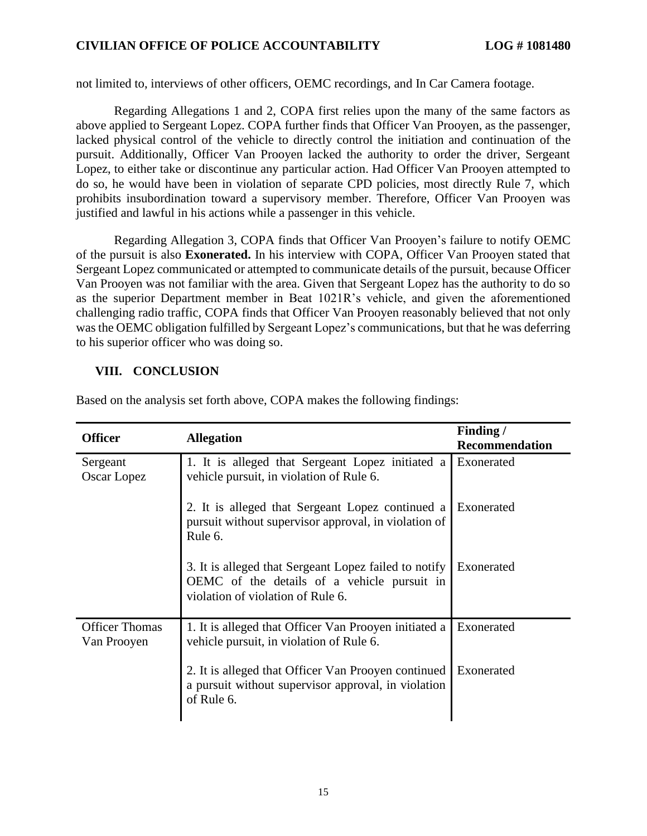not limited to, interviews of other officers, OEMC recordings, and In Car Camera footage.

Regarding Allegations 1 and 2, COPA first relies upon the many of the same factors as above applied to Sergeant Lopez. COPA further finds that Officer Van Prooyen, as the passenger, lacked physical control of the vehicle to directly control the initiation and continuation of the pursuit. Additionally, Officer Van Prooyen lacked the authority to order the driver, Sergeant Lopez, to either take or discontinue any particular action. Had Officer Van Prooyen attempted to do so, he would have been in violation of separate CPD policies, most directly Rule 7, which prohibits insubordination toward a supervisory member. Therefore, Officer Van Prooyen was justified and lawful in his actions while a passenger in this vehicle.

Regarding Allegation 3, COPA finds that Officer Van Prooyen's failure to notify OEMC of the pursuit is also **Exonerated.** In his interview with COPA, Officer Van Prooyen stated that Sergeant Lopez communicated or attempted to communicate details of the pursuit, because Officer Van Prooyen was not familiar with the area. Given that Sergeant Lopez has the authority to do so as the superior Department member in Beat 1021R's vehicle, and given the aforementioned challenging radio traffic, COPA finds that Officer Van Prooyen reasonably believed that not only was the OEMC obligation fulfilled by Sergeant Lopez's communications, but that he was deferring to his superior officer who was doing so.

## **VIII. CONCLUSION**

| <b>Officer</b>                       | <b>Allegation</b>                                                                                                                         | Finding/<br><b>Recommendation</b> |
|--------------------------------------|-------------------------------------------------------------------------------------------------------------------------------------------|-----------------------------------|
| Sergeant<br>Oscar Lopez              | 1. It is alleged that Sergeant Lopez initiated a<br>vehicle pursuit, in violation of Rule 6.                                              | Exonerated                        |
|                                      | 2. It is alleged that Sergeant Lopez continued a<br>pursuit without supervisor approval, in violation of<br>Rule 6.                       | Exonerated                        |
|                                      | 3. It is alleged that Sergeant Lopez failed to notify<br>OEMC of the details of a vehicle pursuit in<br>violation of violation of Rule 6. | Exonerated                        |
| <b>Officer Thomas</b><br>Van Prooyen | 1. It is alleged that Officer Van Prooyen initiated a<br>vehicle pursuit, in violation of Rule 6.                                         | Exonerated                        |
|                                      | 2. It is alleged that Officer Van Prooyen continued<br>a pursuit without supervisor approval, in violation<br>of Rule 6.                  | Exonerated                        |

Based on the analysis set forth above, COPA makes the following findings: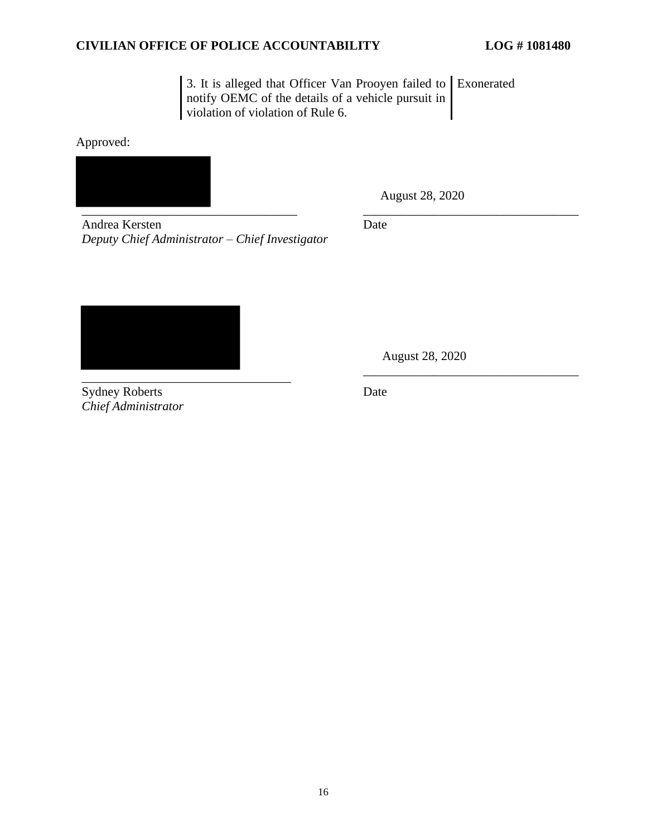3. It is alleged that Officer Van Prooyen failed to Exonerated notify OEMC of the details of a vehicle pursuit in violation of violation of Rule 6.

Approved:



August 28, 2020

Andrea Kersten *Deputy Chief Administrator – Chief Investigator* Date



Sydney Roberts *Chief Administrator*

 August 28, 2020 \_\_\_\_\_\_\_\_\_\_\_\_\_\_\_\_\_\_\_\_\_\_\_\_\_\_\_\_\_\_\_\_\_\_

Date